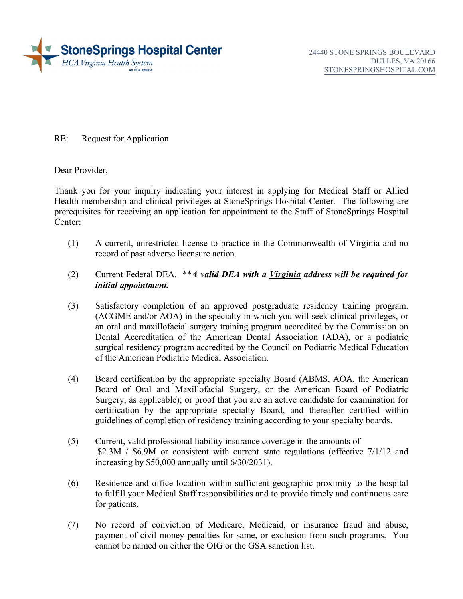

RE: Request for Application

Dear Provider,

 Thank you for your inquiry indicating your interest in applying for Medical Staff or Allied Health membership and clinical privileges at StoneSprings Hospital Center. The following are prerequisites for receiving an application for appointment to the Staff of StoneSprings Hospital Center:

- (1) A current, unrestricted license to practice in the Commonwealth of Virginia and no record of past adverse licensure action.
- $(2)$ Current Federal DEA. \*\**A valid DEA with a <u>Virginia</u> address will be required for initial appointment.*
- (3) Satisfactory completion of an approved postgraduate residency training program. (ACGME and/or AOA) in the specialty in which you will seek clinical privileges, or an oral and maxillofacial surgery training program accredited by the Commission on Dental Accreditation of the American Dental Association (ADA), or a podiatric surgical residency program accredited by the Council on Podiatric Medical Education of the American Podiatric Medical Association.
- Surgery, as applicable); or proof that you are an active candidate for examination for (4) Board certification by the appropriate specialty Board (ABMS, AOA, the American Board of Oral and Maxillofacial Surgery, or the American Board of Podiatric certification by the appropriate specialty Board, and thereafter certified within guidelines of completion of residency training according to your specialty boards.
- (5) Current, valid professional liability insurance coverage in the amounts of \$2.3M / \$6.9M or consistent with current state regulations (effective 7/1/12 and increasing by \$50,000 annually until 6/30/2031).
- (6) Residence and office location within sufficient geographic proximity to the hospital to fulfill your Medical Staff responsibilities and to provide timely and continuous care for patients.
- (7) No record of conviction of Medicare, Medicaid, or insurance fraud and abuse, payment of civil money penalties for same, or exclusion from such programs. You cannot be named on either the OIG or the GSA sanction list.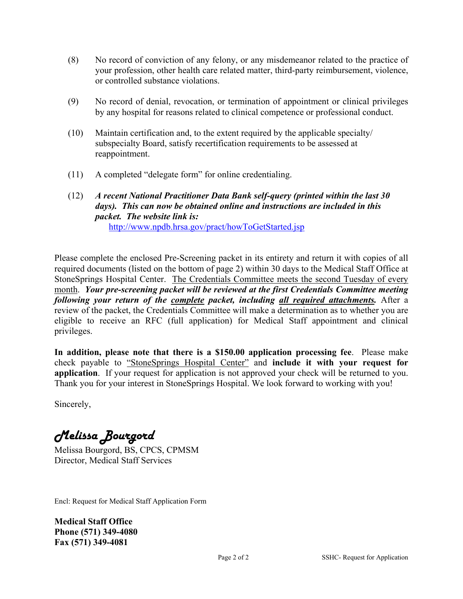- (8) No record of conviction of any felony, or any misdemeanor related to the practice of or controlled substance violations. your profession, other health care related matter, third-party reimbursement, violence,
- by any hospital for reasons related to clinical competence or professional conduct. (9) No record of denial, revocation, or termination of appointment or clinical privileges
- (10) Maintain certification and, to the extent required by the applicable specialty/ subspecialty Board, satisfy recertification requirements to be assessed at reappointment.
- (11) A completed "delegate form" for online credentialing.
- (12) *A recent National Practitioner Data Bank self-query (printed within the last 30 days). This can now be obtained online and instructions are included in this packet. The website link is:*  [http://www.npdb.hrsa.gov/pract/howToGetStarted.jsp](https://www.npdb.hrsa.gov/pract/howToGetStarted.jsp)

 *following your return of the complete packet, including all required attachments.* After a review of the packet, the Credentials Committee will make a determination as to whether you are Please complete the enclosed Pre-Screening packet in its entirety and return it with copies of all required documents (listed on the bottom of page 2) within 30 days to the Medical Staff Office at StoneSprings Hospital Center. The Credentials Committee meets the second Tuesday of every month. *Your pre-screening packet will be reviewed at the first Credentials Committee meeting*  eligible to receive an RFC (full application) for Medical Staff appointment and clinical privileges.

 **In addition, please note that there is a \$150.00 application processing fee**. Please make application. If your request for application is not approved your check will be returned to you. check payable to "StoneSprings Hospital Center" and **include it with your request for**  Thank you for your interest in StoneSprings Hospital. We look forward to working with you!

Sincerely,

Melissa Bourgord

Melissa Bourgord, BS, CPCS, CPMSM Director, Medical Staff Services

Encl: Request for Medical Staff Application Form

**Medical Staff Office Phone (571) 349-4080 Fax (571) 349-4081**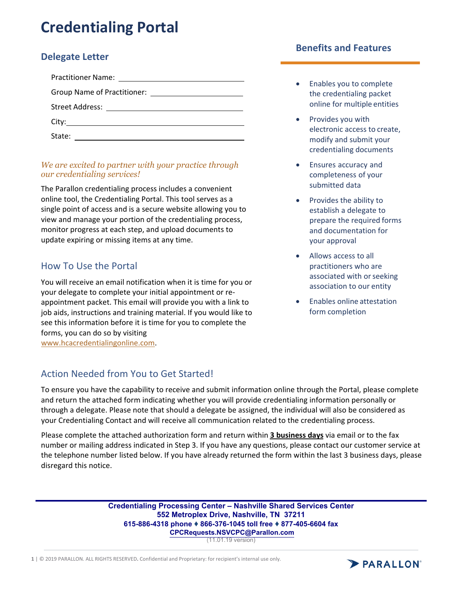# **Credentialing Portal**

# **Delegate Letter**

| Practitioner Name: <u>_______________________</u> |  |
|---------------------------------------------------|--|
|                                                   |  |
|                                                   |  |
| City:                                             |  |
| State:                                            |  |

## *We are excited to partner with your practice through our credentialing services!*

 The Parallon credentialing process includes a convenient online tool, the Credentialing Portal. This tool serves as a single point of access and is a secure website allowing you to view and manage your portion of the credentialing process, monitor progress at each step, and upload documents to update expiring or missing items at any time.

# How To Use the Portal

 You will receive an email notification when it is time for you or your delegate to complete your initial appointment or re‐ appointment packet. This email will provide you with a link to job aids, instructions and training material. If you would like to see this information before it is time for you to complete the forms, you can do so by visiting www.hcacredentialingonline.com.

# Action Needed from You to Get Started!

## **Benefits and Features**

- **Enables you to complete**  the credentialing packet online for multiple entities
- Provides you with electronic access to create, modify and submit your credentialing documents
- Ensures accuracy and completeness of your submitted data
- Provides the ability to establish a delegate to prepare the required forms and documentation for your approval
- Allows access to all practitioners who are associated with or seeking association to our entity
- Enables online attestation form completion

 To ensure you have the capability to receive and submit information online through the Portal, please complete and return the attached form indicating whether you will provide credentialing information personally or through a delegate. Please note that should a delegate be assigned, the individual will also be considered as your Credentialing Contact and will receive all communication related to the credentialing process.

  Please complete the attached authorization form and return within **3 business days** via email or to the fax number or mailing address indicated in Step 3. If you have any questions, please contact our customer service at the telephone number listed below. If you have already returned the form within the last 3 business days, please disregard this notice.

> **Credentialing Processing Center – Nashville Shared Services Center 552 Metroplex Drive, Nashville, TN 37211 615-886-4318 phone** ♦ **866-376-1045 toll free** ♦ **877-405-6604 fax [CPCRequests.NSVCPC@Parallon.com](mailto:CPCRequests.NSVCPC@Parallon.com)**

(11.01.19 version)

**1** | © 2019 PARALLON. ALL RIGHTS RESERVED**.** Confidential and Proprietary: for recipient's internal use only.

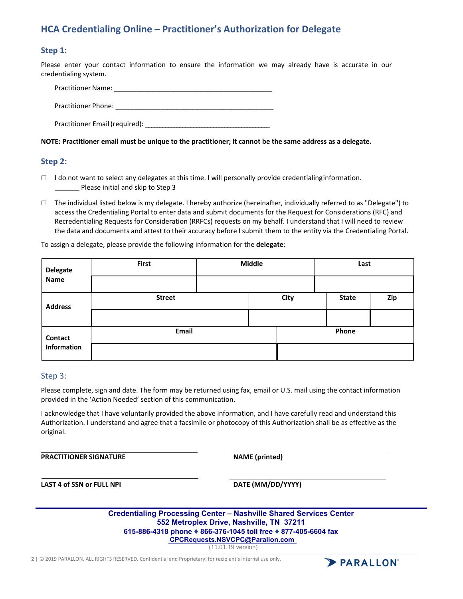# **HCA Credentialing Online – Practitioner's Authorization for Delegate**

#### **Step 1:**

 Please enter your contact information to ensure the information we may already have is accurate in our credentialing system.

 Practitioner Name: \_\_\_\_\_\_\_\_\_\_\_\_\_\_\_\_\_\_\_\_\_\_\_\_\_\_\_\_\_\_\_\_\_\_\_\_\_\_\_\_\_\_ Practitioner Phone: \_\_\_\_\_\_\_\_\_\_\_\_\_\_\_\_\_\_\_\_\_\_\_\_\_\_\_\_\_\_\_\_\_\_\_\_\_\_\_\_\_\_

Practitioner Email (required): \_\_\_\_\_\_\_\_\_\_\_\_\_\_\_\_\_\_\_\_\_\_\_\_\_\_\_\_\_\_\_\_\_\_\_\_\_\_\_\_\_\_\_\_

#### NOTE: Practitioner email must be unique to the practitioner; it cannot be the same address as a delegate.

#### **Step 2:**

- □ I do not want to select any delegates at this time. I will personally provide credentialinginformation. Please initial and skip to Step 3
- □ The individual listed below is my delegate. I hereby authorize (hereinafter, individually referred to as "Delegate") to access the Credentialing Portal to enter data and submit documents for the Request for Considerations (RFC) and Recredentialing Requests for Consideration (RRFCs) requests on my behalf. I understand that I will need to review the data and documents and attest to their accuracy before I submit them to the entity via the Credentialing Portal.

To assign a delegate, please provide the following information for the **delegate**:

| <b>Delegate</b><br><b>Name</b> | <b>First</b>  | Middle |      |       | Last         |     |
|--------------------------------|---------------|--------|------|-------|--------------|-----|
|                                |               |        |      |       |              |     |
| <b>Address</b>                 | <b>Street</b> |        | City |       | <b>State</b> | Zip |
|                                |               |        |      |       |              |     |
| Contact<br>Information         | <b>Email</b>  |        |      | Phone |              |     |
|                                |               |        |      |       |              |     |

#### Step 3:

 Please complete, sign and date. The form may be returned using fax, email or U.S. mail using the contact information provided in the 'Action Needed' section of this communication.

 I acknowledge that I have voluntarily provided the above information, and I have carefully read and understand this Authorization. I understand and agree that a facsimile or photocopy of this Authorization shall be as effective as the original.

**PRACTITIONER SIGNATURE NAME** (printed)

 **LAST 4 of SSN or FULL NPI DATE (MM/DD/YYYY)**

| <b>Credentialing Processing Center - Nashville Shared Services Center</b> |
|---------------------------------------------------------------------------|
| 552 Metroplex Drive, Nashville, TN 37211                                  |
| 615-886-4318 phone ♦ 866-376-1045 toll free ♦ 877-405-6604 fax            |
| CPCRequests.NSVCPC@Parallon.com                                           |

(11.01.19 version)

**2** | © 2019 PARALLON. ALL RIGHTS RESERVED**.** Confidential and Proprietary: for recipient's internal use only.

PARALLON<sup>®</sup>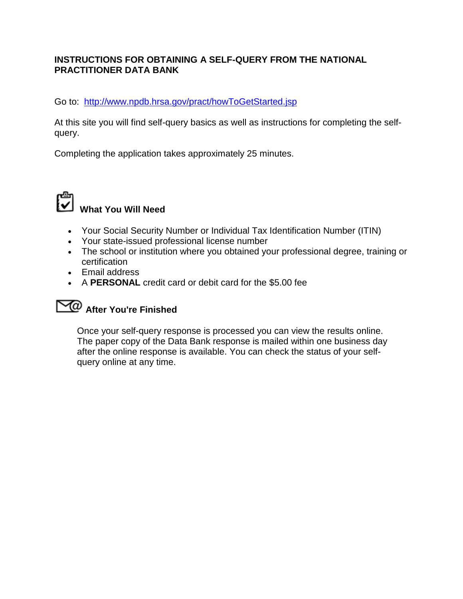# **INSTRUCTIONS FOR OBTAINING A SELF-QUERY FROM THE NATIONAL PRACTITIONER DATA BANK**

Go to: [http://www.npdb.hrsa.gov/pract/howToGetStarted.jsp](https://www.npdb.hrsa.gov/pract/howToGetStarted.jsp) 

At this site you will find self-query basics as well as instructions for completing the selfquery.

Completing the application takes approximately 25 minutes.



- Your Social Security Number or Individual Tax Identification Number (ITIN)
- Your state-issued professional license number
- The school or institution where you obtained your professional degree, training or certification
- Email address
- A **PERSONAL** credit card or debit card for the \$5.00 fee

# **After You're Finished**

Once your self-query response is processed you can view the results online. The paper copy of the Data Bank response is mailed within one business day after the online response is available. You can check the status of your selfquery online at any time.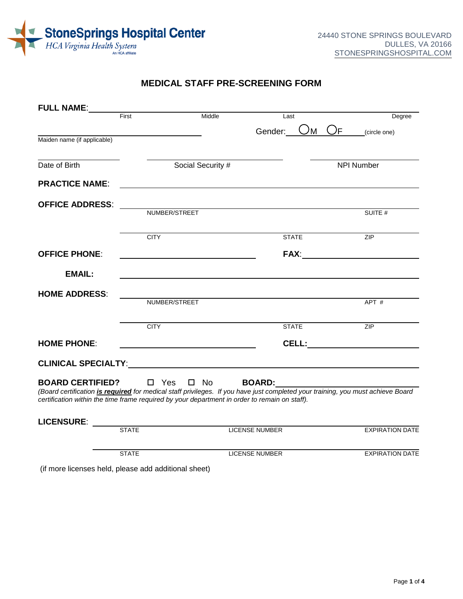

## **MEDICAL STAFF PRE-SCREENING FORM**

| <b>FULL NAME:</b>                                                                                                        |               |                   |                           |                                                                                                                                        |
|--------------------------------------------------------------------------------------------------------------------------|---------------|-------------------|---------------------------|----------------------------------------------------------------------------------------------------------------------------------------|
|                                                                                                                          | First         | Middle            | Last                      | Degree                                                                                                                                 |
|                                                                                                                          |               |                   | Gender:<br><sup>)</sup> M | $\bigcup_{\mathsf{F}}$<br>(circle one)                                                                                                 |
| Maiden name (if applicable)                                                                                              |               |                   |                           |                                                                                                                                        |
| Date of Birth                                                                                                            |               | Social Security # |                           | <b>NPI Number</b>                                                                                                                      |
| <b>PRACTICE NAME:</b>                                                                                                    |               |                   |                           |                                                                                                                                        |
| <b>OFFICE ADDRESS:</b>                                                                                                   |               |                   |                           |                                                                                                                                        |
|                                                                                                                          | NUMBER/STREET |                   |                           | SUITE #                                                                                                                                |
|                                                                                                                          | <b>CITY</b>   |                   | <b>STATE</b>              | ZIP                                                                                                                                    |
| <b>OFFICE PHONE:</b>                                                                                                     |               |                   | <b>FAX:</b>               |                                                                                                                                        |
| <b>EMAIL:</b>                                                                                                            |               |                   |                           |                                                                                                                                        |
| <b>HOME ADDRESS:</b>                                                                                                     |               |                   |                           |                                                                                                                                        |
|                                                                                                                          | NUMBER/STREET |                   |                           | APT #                                                                                                                                  |
|                                                                                                                          | <b>CITY</b>   |                   | <b>STATE</b>              | <b>ZIP</b>                                                                                                                             |
| <b>HOME PHONE:</b>                                                                                                       |               |                   | CELL:                     |                                                                                                                                        |
|                                                                                                                          |               |                   |                           |                                                                                                                                        |
| <b>BOARD CERTIFIED?</b><br>certification within the time frame required by your department in order to remain on staff). | □ Yes □ No    |                   | <b>BOARD:</b>             | (Board certification <i>is required</i> for medical staff privileges. If you have just completed your training, you must achieve Board |
|                                                                                                                          |               |                   |                           |                                                                                                                                        |
| <b>LICENSURE:</b>                                                                                                        | <b>STATE</b>  |                   | <b>LICENSE NUMBER</b>     | <b>EXPIRATION DATE</b>                                                                                                                 |
|                                                                                                                          |               |                   |                           |                                                                                                                                        |
|                                                                                                                          | <b>STATE</b>  |                   | <b>LICENSE NUMBER</b>     | <b>EXPIRATION DATE</b>                                                                                                                 |

(if more licenses held, please add additional sheet)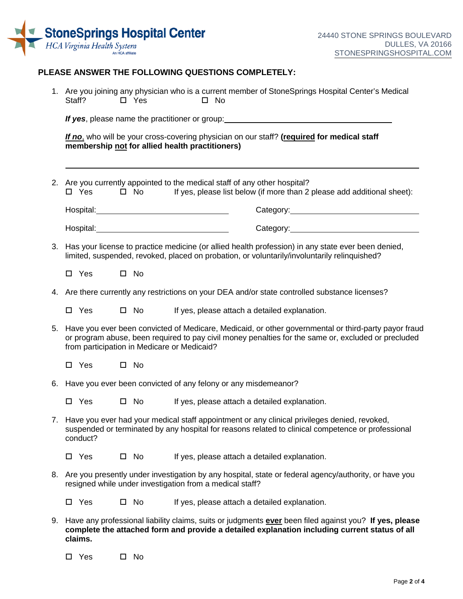

### **PLEASE ANSWER THE FOLLOWING QUESTIONS COMPLETELY:**

|    | Staff?                                                                                                                                                                                                                         | $\square$ Yes | 1. Are you joining any physician who is a current member of StoneSprings Hospital Center's Medical<br>$\square$ No                                                                                                                         |
|----|--------------------------------------------------------------------------------------------------------------------------------------------------------------------------------------------------------------------------------|---------------|--------------------------------------------------------------------------------------------------------------------------------------------------------------------------------------------------------------------------------------------|
|    |                                                                                                                                                                                                                                |               | <b>If yes</b> , please name the practitioner or group: <b>All and the set of the set of the set of the set of the set of the set of the set of the set of the set of the set of the set of the set of the set of the set of the set of</b> |
|    | membership not for allied health practitioners)                                                                                                                                                                                |               | If no, who will be your cross-covering physician on our staff? (required for medical staff                                                                                                                                                 |
| 2. | $\square$ Yes                                                                                                                                                                                                                  | $\square$ No  | Are you currently appointed to the medical staff of any other hospital?<br>If yes, please list below (if more than 2 please add additional sheet):                                                                                         |
|    |                                                                                                                                                                                                                                |               | Category: 2000 2000 2010 2010 2020 2030 2040 2050 2060 2071 2080 2091 2000 2011 2012 2014 2015 2016 2017 2018                                                                                                                              |
|    | Hospital: Management Contract Contract Contract Contract Contract Contract Contract Contract Contract Contract Contract Contract Contract Contract Contract Contract Contract Contract Contract Contract Contract Contract Con |               | Category: 2000 Category:                                                                                                                                                                                                                   |
| 3. |                                                                                                                                                                                                                                |               | Has your license to practice medicine (or allied health profession) in any state ever been denied,<br>limited, suspended, revoked, placed on probation, or voluntarily/involuntarily relinquished?                                         |
|    | $\Box$ Yes                                                                                                                                                                                                                     | $\square$ No  |                                                                                                                                                                                                                                            |
| 4. |                                                                                                                                                                                                                                |               | Are there currently any restrictions on your DEA and/or state controlled substance licenses?                                                                                                                                               |
|    | $\square$ Yes                                                                                                                                                                                                                  | $\square$ No  | If yes, please attach a detailed explanation.                                                                                                                                                                                              |
| 5. | from participation in Medicare or Medicaid?                                                                                                                                                                                    |               | Have you ever been convicted of Medicare, Medicaid, or other governmental or third-party payor fraud<br>or program abuse, been required to pay civil money penalties for the same or, excluded or precluded                                |
|    | $\Box$ Yes                                                                                                                                                                                                                     | $\square$ No  |                                                                                                                                                                                                                                            |
| 6. |                                                                                                                                                                                                                                |               | Have you ever been convicted of any felony or any misdemeanor?                                                                                                                                                                             |
|    | $\square$ Yes                                                                                                                                                                                                                  | $\square$ No  | If yes, please attach a detailed explanation.                                                                                                                                                                                              |
|    | conduct?                                                                                                                                                                                                                       |               | 7. Have you ever had your medical staff appointment or any clinical privileges denied, revoked,<br>suspended or terminated by any hospital for reasons related to clinical competence or professional                                      |
|    | $\square$ Yes                                                                                                                                                                                                                  | $\square$ No  | If yes, please attach a detailed explanation.                                                                                                                                                                                              |
|    |                                                                                                                                                                                                                                |               | 8. Are you presently under investigation by any hospital, state or federal agency/authority, or have you<br>resigned while under investigation from a medical staff?                                                                       |
|    | $\Box$ Yes                                                                                                                                                                                                                     | $\square$ No  | If yes, please attach a detailed explanation.                                                                                                                                                                                              |
| 9. | claims.                                                                                                                                                                                                                        |               | Have any professional liability claims, suits or judgments ever been filed against you? If yes, please<br>complete the attached form and provide a detailed explanation including current status of all                                    |
|    | $\square$ Yes<br>0.                                                                                                                                                                                                            | No            |                                                                                                                                                                                                                                            |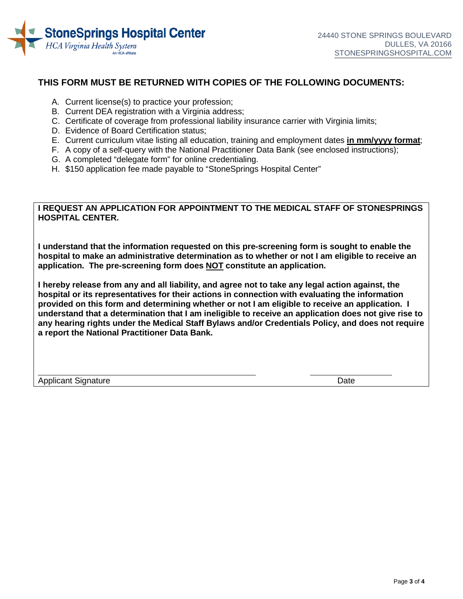

## **THIS FORM MUST BE RETURNED WITH COPIES OF THE FOLLOWING DOCUMENTS:**

- A. Current license(s) to practice your profession;
- B. Current DEA registration with a Virginia address;
- C. Certificate of coverage from professional liability insurance carrier with Virginia limits;
- D. Evidence of Board Certification status;
- E. Current curriculum vitae listing all education, training and employment dates **in mm/yyyy format**;
- F. A copy of a self-query with the National Practitioner Data Bank (see enclosed instructions);
- G. A completed "delegate form" for online credentialing.
- H. \$150 application fee made payable to "StoneSprings Hospital Center"

### **I REQUEST AN APPLICATION FOR APPOINTMENT TO THE MEDICAL STAFF OF STONESPRINGS HOSPITAL CENTER.**

 **hospital to make an administrative determination as to whether or not I am eligible to receive an application. The pre-screening form does NOT constitute an application. I understand that the information requested on this pre-screening form is sought to enable the** 

 **provided on this form and determining whether or not I am eligible to receive an application. I understand that a determination that I am ineligible to receive an application does not give rise to I hereby release from any and all liability, and agree not to take any legal action against, the hospital or its representatives for their actions in connection with evaluating the information any hearing rights under the Medical Staff Bylaws and/or Credentials Policy, and does not require a report the National Practitioner Data Bank.** 

 $\overline{a}$ Applicant Signature **Date**